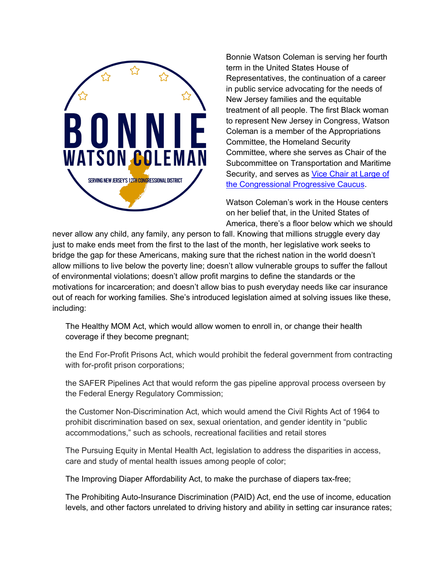

Bonnie Watson Coleman is serving her fourth term in the United States House of Representatives, the continuation of a career in public service advocating for the needs of New Jersey families and the equitable treatment of all people. The first Black woman to represent New Jersey in Congress, Watson Coleman is a member of the Appropriations Committee, the Homeland Security Committee, where she serves as Chair of the Subcommittee on Transportation and Maritime Security, and serves as Vice Chair at Large of the Congressional Progressive Caucus.

Watson Coleman's work in the House centers on her belief that, in the United States of America, there's a floor below which we should

never allow any child, any family, any person to fall. Knowing that millions struggle every day just to make ends meet from the first to the last of the month, her legislative work seeks to bridge the gap for these Americans, making sure that the richest nation in the world doesn't allow millions to live below the poverty line; doesn't allow vulnerable groups to suffer the fallout of environmental violations; doesn't allow profit margins to define the standards or the motivations for incarceration; and doesn't allow bias to push everyday needs like car insurance out of reach for working families. She's introduced legislation aimed at solving issues like these, including:

The Healthy MOM Act, which would allow women to enroll in, or change their health coverage if they become pregnant;

the End For-Profit Prisons Act, which would prohibit the federal government from contracting with for-profit prison corporations;

the SAFER Pipelines Act that would reform the gas pipeline approval process overseen by the Federal Energy Regulatory Commission;

the Customer Non-Discrimination Act, which would amend the Civil Rights Act of 1964 to prohibit discrimination based on sex, sexual orientation, and gender identity in "public accommodations," such as schools, recreational facilities and retail stores

The Pursuing Equity in Mental Health Act, legislation to address the disparities in access, care and study of mental health issues among people of color;

The Improving Diaper Affordability Act, to make the purchase of diapers tax-free;

The Prohibiting Auto-Insurance Discrimination (PAID) Act, end the use of income, education levels, and other factors unrelated to driving history and ability in setting car insurance rates;